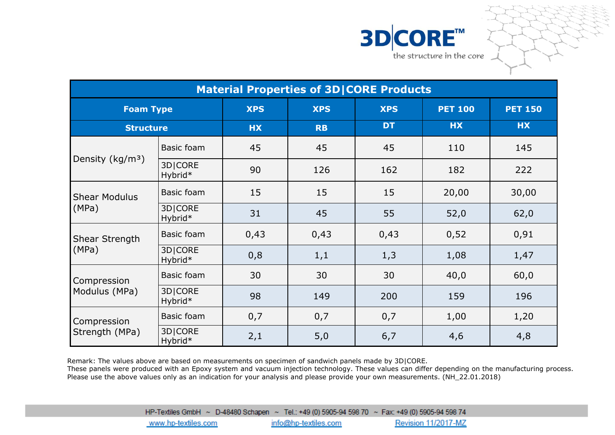



| <b>Material Properties of 3D CORE Products</b> |                    |            |            |            |                |                |  |
|------------------------------------------------|--------------------|------------|------------|------------|----------------|----------------|--|
| <b>Foam Type</b>                               |                    | <b>XPS</b> | <b>XPS</b> | <b>XPS</b> | <b>PET 100</b> | <b>PET 150</b> |  |
| <b>Structure</b>                               |                    | <b>HX</b>  | <b>RB</b>  | <b>DT</b>  | <b>HX</b>      | <b>HX</b>      |  |
| Density (kg/m <sup>3</sup> )                   | <b>Basic foam</b>  | 45         | 45         | 45         | 110            | 145            |  |
|                                                | 3D CORE<br>Hybrid* | 90         | 126        | 162        | 182            | 222            |  |
| <b>Shear Modulus</b><br>(MPa)                  | Basic foam         | 15         | 15         | 15         | 20,00          | 30,00          |  |
|                                                | 3D CORE<br>Hybrid* | 31         | 45         | 55         | 52,0           | 62,0           |  |
| Shear Strength<br>(MPa)                        | Basic foam         | 0,43       | 0,43       | 0,43       | 0,52           | 0,91           |  |
|                                                | 3D CORE<br>Hybrid* | 0,8        | 1,1        | 1,3        | 1,08           | 1,47           |  |
| Compression<br>Modulus (MPa)                   | <b>Basic foam</b>  | 30         | 30         | 30         | 40,0           | 60,0           |  |
|                                                | 3D CORE<br>Hybrid* | 98         | 149        | 200        | 159            | 196            |  |
| Compression<br>Strength (MPa)                  | Basic foam         | 0,7        | 0,7        | 0,7        | 1,00           | 1,20           |  |
|                                                | 3D CORE<br>Hybrid* | 2,1        | 5,0        | 6,7        | 4,6            | 4,8            |  |

Remark: The values above are based on measurements on specimen of sandwich panels made by 3D|CORE. These panels were produced with an Epoxy system and vacuum injection technology. These values can differ depending on the manufacturing process. Please use the above values only as an indication for your analysis and please provide your own measurements. (NH\_22.01.2018)

 $3\text{HP-Textiles}$  GmbH  $\sim$  D-48480 Schapen  $\sim$  Tel.: +49 (0) 5905-94 598 70  $\sim$  Fax: +49 (0) 5905-94 598 74<br>www.hp-textiles.com info@hp-textiles.com Revision 11/2017-MZ